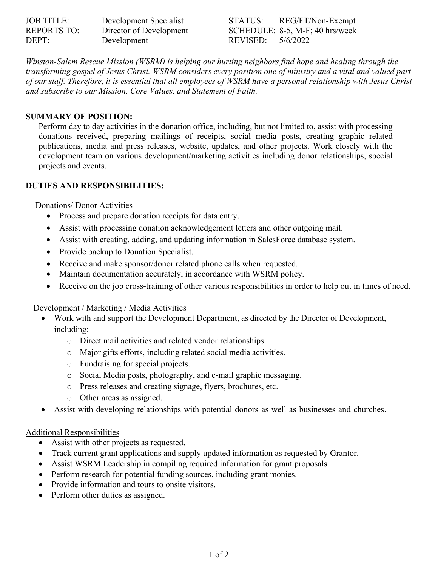| <b>JOB TITLE:</b>  | Development Specialist  |
|--------------------|-------------------------|
| <b>REPORTS TO:</b> | Director of Development |
| DEPT:              | Development             |

STATUS: REG/FT/Non-Exempt SCHEDULE: 8-5, M-F; 40 hrs/week REVISED: 5/6/2022

*Winston-Salem Rescue Mission (WSRM) is helping our hurting neighbors find hope and healing through the transforming gospel of Jesus Christ. WSRM considers every position one of ministry and a vital and valued part of our staff. Therefore, it is essential that all employees of WSRM have a personal relationship with Jesus Christ and subscribe to our Mission, Core Values, and Statement of Faith.* 

### **SUMMARY OF POSITION:**

Perform day to day activities in the donation office, including, but not limited to, assist with processing donations received, preparing mailings of receipts, social media posts, creating graphic related publications, media and press releases, website, updates, and other projects. Work closely with the development team on various development/marketing activities including donor relationships, special projects and events.

## **DUTIES AND RESPONSIBILITIES:**

#### Donations/ Donor Activities

- Process and prepare donation receipts for data entry.
- Assist with processing donation acknowledgement letters and other outgoing mail.
- Assist with creating, adding, and updating information in SalesForce database system.
- Provide backup to Donation Specialist.
- Receive and make sponsor/donor related phone calls when requested.
- Maintain documentation accurately, in accordance with WSRM policy.
- Receive on the job cross-training of other various responsibilities in order to help out in times of need.

#### Development / Marketing / Media Activities

- Work with and support the Development Department, as directed by the Director of Development, including:
	- o Direct mail activities and related vendor relationships.
	- o Major gifts efforts, including related social media activities.
	- o Fundraising for special projects.
	- o Social Media posts, photography, and e-mail graphic messaging.
	- o Press releases and creating signage, flyers, brochures, etc.
	- o Other areas as assigned.
- Assist with developing relationships with potential donors as well as businesses and churches.

#### Additional Responsibilities

- Assist with other projects as requested.
- Track current grant applications and supply updated information as requested by Grantor.
- Assist WSRM Leadership in compiling required information for grant proposals.
- Perform research for potential funding sources, including grant monies.
- Provide information and tours to onsite visitors.
- Perform other duties as assigned.